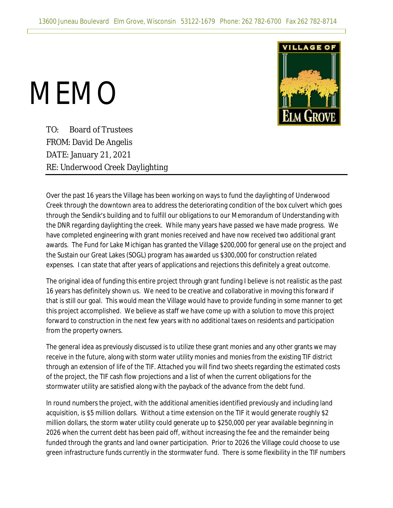

## MEMO

TO: Board of Trustees FROM: David De Angelis DATE: January 21, 2021 RE: Underwood Creek Daylighting

Over the past 16 years the Village has been working on ways to fund the daylighting of Underwood Creek through the downtown area to address the deteriorating condition of the box culvert which goes through the Sendik's building and to fulfill our obligations to our Memorandum of Understanding with the DNR regarding daylighting the creek. While many years have passed we have made progress. We have completed engineering with grant monies received and have now received two additional grant awards. The Fund for Lake Michigan has granted the Village \$200,000 for general use on the project and the Sustain our Great Lakes (SOGL) program has awarded us \$300,000 for construction related expenses. I can state that after years of applications and rejections this definitely a great outcome.

The original idea of funding this entire project through grant funding I believe is not realistic as the past 16 years has definitely shown us. We need to be creative and collaborative in moving this forward if that is still our goal. This would mean the Village would have to provide funding in some manner to get this project accomplished. We believe as staff we have come up with a solution to move this project forward to construction in the next few years with no additional taxes on residents and participation from the property owners.

The general idea as previously discussed is to utilize these grant monies and any other grants we may receive in the future, along with storm water utility monies and monies from the existing TIF district through an extension of life of the TIF. Attached you will find two sheets regarding the estimated costs of the project, the TIF cash flow projections and a list of when the current obligations for the stormwater utility are satisfied along with the payback of the advance from the debt fund.

In round numbers the project, with the additional amenities identified previously and including land acquisition, is \$5 million dollars. Without a time extension on the TIF it would generate roughly \$2 million dollars, the storm water utility could generate up to \$250,000 per year available beginning in 2026 when the current debt has been paid off, without increasing the fee and the remainder being funded through the grants and land owner participation. Prior to 2026 the Village could choose to use green infrastructure funds currently in the stormwater fund. There is some flexibility in the TIF numbers